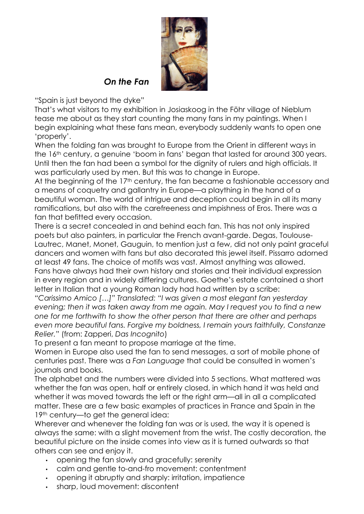

*On the Fan*

"Spain is just beyond the dyke"

That's what visitors to my exhibition in Josiaskoog in the Föhr village of Nieblum tease me about as they start counting the many fans in my paintings. When I begin explaining what these fans mean, everybody suddenly wants to open one 'properly'.

When the folding fan was brought to Europe from the Orient in different ways in the 16<sup>th</sup> century, a genuine 'boom in fans' began that lasted for around 300 years. Until then the fan had been a symbol for the dignity of rulers and high officials. It was particularly used by men. But this was to change in Europe.

At the beginning of the 17<sup>th</sup> century, the fan became a fashionable accessory and a means of coquetry and gallantry in Europe—a plaything in the hand of a beautiful woman. The world of intrigue and deception could begin in all its many ramifications, but also with the carefreeness and impishness of Eros. There was a fan that befitted every occasion.

There is a secret concealed in and behind each fan. This has not only inspired poets but also painters, in particular the French avant-garde. Degas, Toulouse-Lautrec, Manet, Monet, Gauguin, to mention just a few, did not only paint graceful dancers and women with fans but also decorated this jewel itself. Pissarro adorned at least 49 fans. The choice of motifs was vast. Almost anything was allowed. Fans have always had their own history and stories and their individual expression in every region and in widely differing cultures. Goethe's estate contained a short letter in Italian that a young Roman lady had had written by a scribe:

*"Carissimo Amico […]" Translated: "I was given a most elegant fan yesterday evening; then it was taken away from me again. May I request you to find a new one for me forthwith to show the other person that there are other and perhaps even more beautiful fans. Forgive my boldness, I remain yours faithfully, Constanze Relier.*" (from: Zapperi, *Das Incognito*)

To present a fan meant to propose marriage at the time.

Women in Europe also used the fan to send messages, a sort of mobile phone of centuries past. There was a *Fan Language* that could be consulted in women's journals and books.

The alphabet and the numbers were divided into 5 sections. What mattered was whether the fan was open, half or entirely closed, in which hand it was held and whether it was moved towards the left or the right arm—all in all a complicated matter. These are a few basic examples of practices in France and Spain in the 19<sup>th</sup> century—to get the general idea:

Wherever and whenever the folding fan was or is used, the way it is opened is always the same: with a slight movement from the wrist. The costly decoration, the beautiful picture on the inside comes into view as it is turned outwards so that others can see and enjoy it.

- opening the fan slowly and gracefully: serenity
- calm and gentle to-and-fro movement: contentment
- opening it abruptly and sharply: irritation, impatience
- sharp, loud movement: discontent